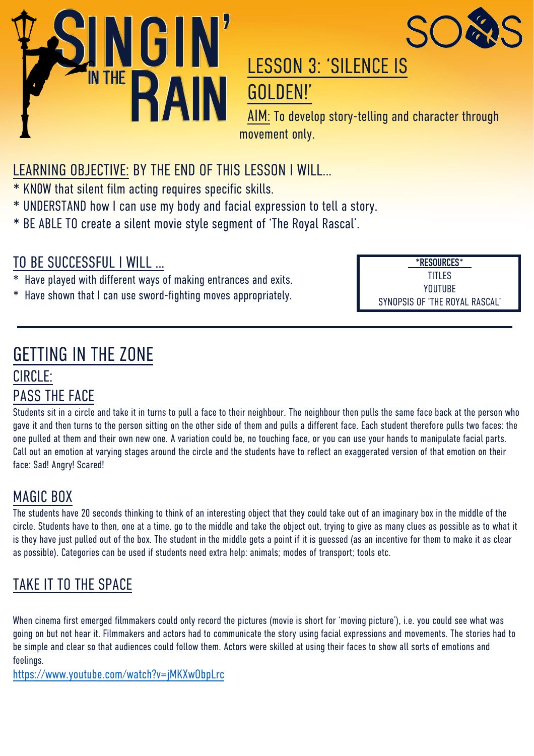



# LESSON 3: 'SILENCE IS GOLDEN!'

AIM: To develop story-telling and character through movement only.

### LEARNING OBJECTIVE: BY THE END OF THIS LESSON I WILL…

- \* KN0W that silent film acting requires specific skills.
- \* UNDERSTAND how I can use my body and facial expression to tell a story.
- \* BE ABLE TO create a silent movie style segment of 'The Royal Rascal'.

### TO BE SUCCESSFUL I WILL …

- Have played with different ways of making entrances and exits.
- \* Have shown that I can use sword-fighting moves appropriately.

**\*RESOURCES**\* TITLES YOUTUBE SYNOPSIS OF 'THE ROYAL RASCAL'

### GETTING IN THE ZONE

### CIRCLE: PASS THE FACE

Students sit in a circle and take it in turns to pull a face to their neighbour. The neighbour then pulls the same face back at the person who gave it and then turns to the person sitting on the other side of them and pulls a different face. Each student therefore pulls two faces: the one pulled at them and their own new one. A variation could be, no touching face, or you can use your hands to manipulate facial parts. Call out an emotion at varying stages around the circle and the students have to reflect an exaggerated version of that emotion on their face: Sad! Angry! Scared!

### MAGIC BOX

The students have 20 seconds thinking to think of an interesting object that they could take out of an imaginary box in the middle of the circle. Students have to then, one at a time, go to the middle and take the object out, trying to give as many clues as possible as to what it is they have just pulled out of the box. The student in the middle gets a point if it is guessed (as an incentive for them to make it as clear as possible). Categories can be used if students need extra help: animals; modes of transport; tools etc.

### TAKE IT TO THE SPACE

When cinema first emerged filmmakers could only record the pictures (movie is short for 'moving picture'), i.e. you could see what was going on but not hear it. Filmmakers and actors had to communicate the story using facial expressions and movements. The stories had to be simple and clear so that audiences could follow them. Actors were skilled at using their faces to show all sorts of emotions and feelings.

<https://www.youtube.com/watch?v=jMKXwObpLrc>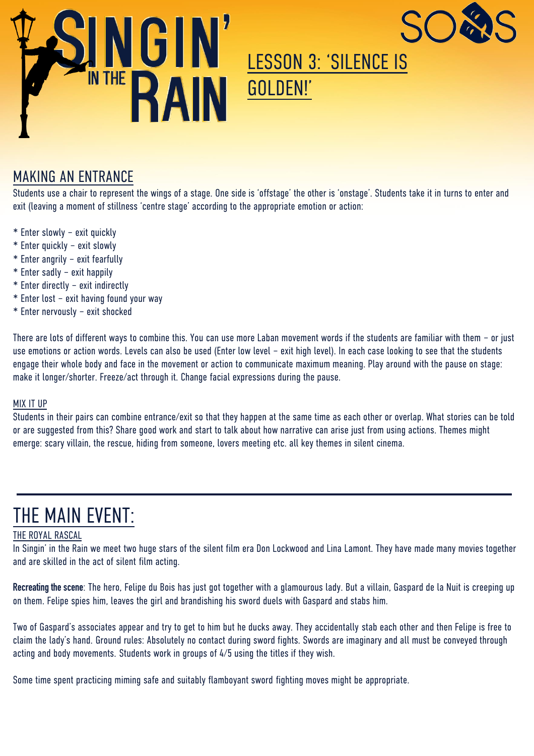



# LESSON 3: 'SILENCE IS GOLDEN!'

### MAKING AN ENTRANCE

Students use a chair to represent the wings of a stage. One side is 'offstage' the other is 'onstage'. Students take it in turns to enter and exit (leaving a moment of stillness 'centre stage' according to the appropriate emotion or action:

- \* Enter slowly exit quickly
- \* Enter quickly exit slowly
- \* Enter angrily exit fearfully
- \* Enter sadly exit happily
- \* Enter directly exit indirectly
- \* Enter lost exit having found your way
- \* Enter nervously exit shocked

There are lots of different ways to combine this. You can use more Laban movement words if the students are familiar with them – or just use emotions or action words. Levels can also be used (Enter low level – exit high level). In each case looking to see that the students engage their whole body and face in the movement or action to communicate maximum meaning. Play around with the pause on stage: make it longer/shorter. Freeze/act through it. Change facial expressions during the pause.

#### MIX IT UP

Students in their pairs can combine entrance/exit so that they happen at the same time as each other or overlap. What stories can be told or are suggested from this? Share good work and start to talk about how narrative can arise just from using actions. Themes might emerge: scary villain, the rescue, hiding from someone, lovers meeting etc. all key themes in silent cinema.

# THE MAIN EVENT:

#### THE ROYAL RASCAL

In Singin' in the Rain we meet two huge stars of the silent film era Don Lockwood and Lina Lamont. They have made many movies together and are skilled in the act of silent film acting.

**Recreating the scene**: The hero, Felipe du Bois has just got together with a glamourous lady. But a villain, Gaspard de la Nuit is creeping up on them. Felipe spies him, leaves the girl and brandishing his sword duels with Gaspard and stabs him.

Two of Gaspard's associates appear and try to get to him but he ducks away. They accidentally stab each other and then Felipe is free to claim the lady's hand. Ground rules: Absolutely no contact during sword fights. Swords are imaginary and all must be conveyed through acting and body movements. Students work in groups of 4/5 using the titles if they wish.

Some time spent practicing miming safe and suitably flamboyant sword fighting moves might be appropriate.